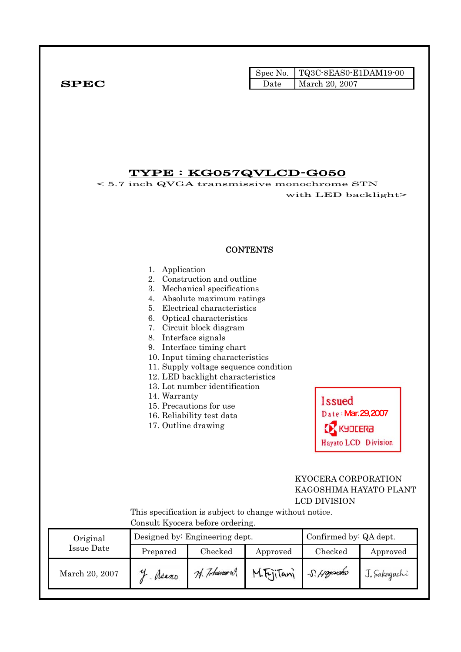|              |      | Spec No.   TQ3C-8EAS0-E1DAM19-00 |
|--------------|------|----------------------------------|
| ${\bf SPEC}$ | Date | March 20, 2007                   |

## TYPE : KG057QVLCD-G050

< 5.7 inch QVGA transmissive monochrome STN with LED backlight>

#### **CONTENTS**

| 1. | Application                           |
|----|---------------------------------------|
|    | 2. Construction and outline           |
|    | 3. Mechanical specifications          |
|    | 4. Absolute maximum ratings           |
|    | 5. Electrical characteristics         |
|    | 6. Optical characteristics            |
|    | 7. Circuit block diagram              |
|    | 8. Interface signals                  |
|    | 9. Interface timing chart             |
|    | 10. Input timing characteristics      |
|    | 11. Supply voltage sequence condition |
|    | 12. LED backlight characteristics     |
|    | 13. Lot number identification         |
|    | 14. Warranty                          |
|    | 15. Precautions for use               |
|    | 16. Reliability test data             |
|    | 17. Outline drawing                   |
|    |                                       |
|    |                                       |
|    |                                       |
|    |                                       |
|    |                                       |
|    |                                       |
|    |                                       |
|    |                                       |

Date: Mar. 29, 2007 **KY KYDLERA** Hayato LCD Division

**Issued** 

## KYOCERA CORPORATION KAGOSHIMA HAYATO PLANT LCD DIVISION

 This specification is subject to change without notice. Consult Kyocera before ordering.

| Original       |          | Designed by: Engineering dept. | Confirmed by: QA dept. |            |              |
|----------------|----------|--------------------------------|------------------------|------------|--------------|
| Issue Date     | Prepared | Checked                        | Approved               | Checked    | Approved     |
| March 20, 2007 | Neano    | 74. Tohumour                   | M.FriiTani             | S. Hoyauko | J. Sakaguchi |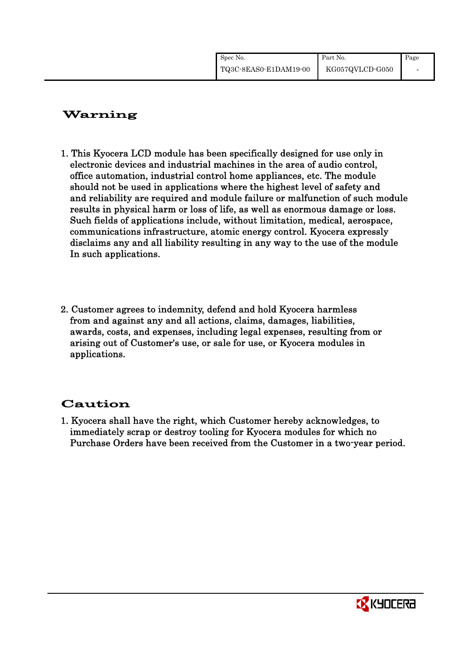| Spec No.              | Part No.        | Page |
|-----------------------|-----------------|------|
| TQ3C-8EAS0-E1DAM19-00 | KG057QVLCD-G050 |      |

# Warning

- 1. This Kyocera LCD module has been specifically designed for use only in electronic devices and industrial machines in the area of audio control, office automation, industrial control home appliances, etc. The module should not be used in applications where the highest level of safety and and reliability are required and module failure or malfunction of such module results in physical harm or loss of life, as well as enormous damage or loss. Such fields of applications include, without limitation, medical, aerospace, communications infrastructure, atomic energy control. Kyocera expressly disclaims any and all liability resulting in any way to the use of the module In such applications.
- 2. Customer agrees to indemnity, defend and hold Kyocera harmless from and against any and all actions, claims, damages, liabilities, awards, costs, and expenses, including legal expenses, resulting from or arising out of Customer's use, or sale for use, or Kyocera modules in applications.

# Caution

1. Kyocera shall have the right, which Customer hereby acknowledges, to immediately scrap or destroy tooling for Kyocera modules for which no Purchase Orders have been received from the Customer in a two-year period.

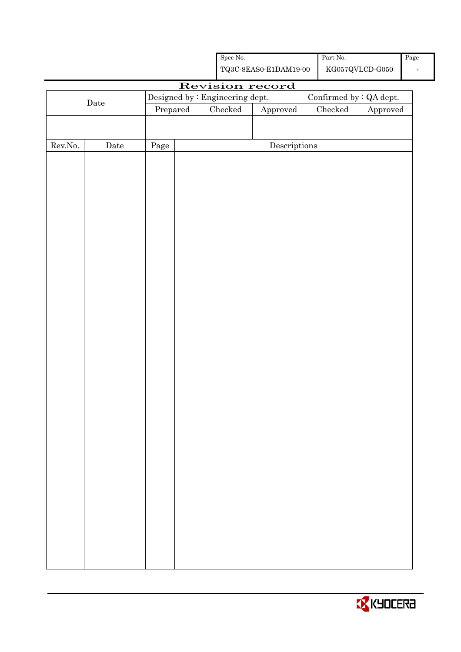|                  |      |                                 | ${\rm Spec}$ No. |                                                    | Part No. $\,$ |                                            | Page                     |
|------------------|------|---------------------------------|------------------|----------------------------------------------------|---------------|--------------------------------------------|--------------------------|
|                  |      |                                 |                  | ${\bf TQ3C\text{-}SEAS0\text{-}E1DAM19\text{-}00}$ |               | ${\rm KG}057{\rm QVLCD}\mbox{-}{\rm G}050$ | $\overline{\phantom{a}}$ |
|                  |      |                                 |                  | Revision record                                    |               |                                            |                          |
|                  | Date | Designed by : Engineering dept. |                  |                                                    |               | Confirmed by : QA dept.                    |                          |
|                  |      | Prepared                        | $\rm Checked$    | Approved                                           | $\rm Checked$ | Approved                                   |                          |
|                  |      |                                 |                  |                                                    |               |                                            |                          |
| ${\rm Rev. No.}$ | Date | Page                            |                  | $\label{eq:2} \textbf{Descriptions}$               |               |                                            |                          |
|                  |      |                                 |                  |                                                    |               |                                            |                          |
|                  |      |                                 |                  |                                                    |               |                                            |                          |
|                  |      |                                 |                  |                                                    |               |                                            |                          |
|                  |      |                                 |                  |                                                    |               |                                            |                          |
|                  |      |                                 |                  |                                                    |               |                                            |                          |
|                  |      |                                 |                  |                                                    |               |                                            |                          |
|                  |      |                                 |                  |                                                    |               |                                            |                          |
|                  |      |                                 |                  |                                                    |               |                                            |                          |
|                  |      |                                 |                  |                                                    |               |                                            |                          |
|                  |      |                                 |                  |                                                    |               |                                            |                          |
|                  |      |                                 |                  |                                                    |               |                                            |                          |
|                  |      |                                 |                  |                                                    |               |                                            |                          |
|                  |      |                                 |                  |                                                    |               |                                            |                          |
|                  |      |                                 |                  |                                                    |               |                                            |                          |
|                  |      |                                 |                  |                                                    |               |                                            |                          |
|                  |      |                                 |                  |                                                    |               |                                            |                          |
|                  |      |                                 |                  |                                                    |               |                                            |                          |
|                  |      |                                 |                  |                                                    |               |                                            |                          |
|                  |      |                                 |                  |                                                    |               |                                            |                          |
|                  |      |                                 |                  |                                                    |               |                                            |                          |
|                  |      |                                 |                  |                                                    |               |                                            |                          |
|                  |      |                                 |                  |                                                    |               |                                            |                          |
|                  |      |                                 |                  |                                                    |               |                                            |                          |
|                  |      |                                 |                  |                                                    |               |                                            |                          |
|                  |      |                                 |                  |                                                    |               |                                            |                          |
|                  |      |                                 |                  |                                                    |               |                                            |                          |
|                  |      |                                 |                  |                                                    |               |                                            |                          |
|                  |      |                                 |                  |                                                    |               |                                            |                          |
|                  |      |                                 |                  |                                                    |               |                                            |                          |
|                  |      |                                 |                  |                                                    |               |                                            |                          |
|                  |      |                                 |                  |                                                    |               |                                            |                          |
|                  |      |                                 |                  |                                                    |               |                                            |                          |

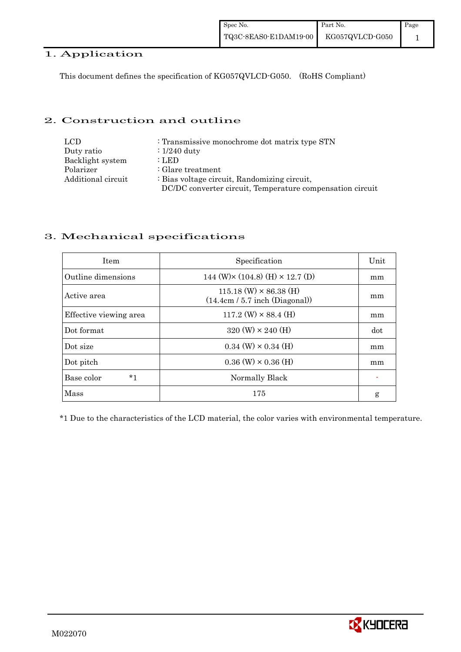#### 1. Application

This document defines the specification of KG057QVLCD-G050. (RoHS Compliant)

#### 2. Construction and outline

| LCD                | : Transmissive monochrome dot matrix type STN             |
|--------------------|-----------------------------------------------------------|
| Duty ratio         | $\therefore$ 1/240 duty                                   |
| Backlight system   | : LED                                                     |
| Polarizer          | $\therefore$ Glare treatment                              |
| Additional circuit | : Bias voltage circuit, Randomizing circuit,              |
|                    | DC/DC converter circuit, Temperature compensation circuit |

## 3. Mechanical specifications

| <b>Item</b>            | Specification                                                     | Unit |
|------------------------|-------------------------------------------------------------------|------|
| Outline dimensions     | 144 (W) $\times$ (104.8) (H) $\times$ 12.7 (D)                    | mm   |
| Active area            | $115.18$ (W) $\times$ 86.38 (H)<br>(14.4cm / 5.7 inch (Diagonal)) | mm   |
| Effective viewing area | $117.2$ (W) $\times$ 88.4 (H)                                     | mm   |
| Dot format             | $320 \text{ (W)} \times 240 \text{ (H)}$                          | dot  |
| Dot size               | $0.34$ (W) $\times$ 0.34 (H)                                      | mm   |
| Dot pitch              | $0.36$ (W) $\times$ 0.36 (H)                                      | mm   |
| Base color<br>$*1$     | Normally Black                                                    |      |
| Mass                   | 175                                                               | g    |

\*1 Due to the characteristics of the LCD material, the color varies with environmental temperature.

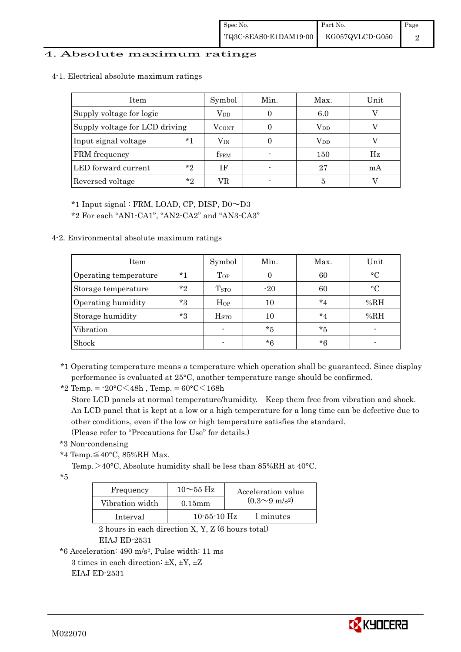#### 4. Absolute maximum ratings

4-1. Electrical absolute maximum ratings

| Item                           | Symbol       | Min. | Max.         | Unit        |
|--------------------------------|--------------|------|--------------|-------------|
| Supply voltage for logic       | $\rm V_{DD}$ |      | 6.0          |             |
| Supply voltage for LCD driving | <b>VCONT</b> |      | $\rm V_{DD}$ |             |
| $*1$<br>Input signal voltage   | $\rm V_{IN}$ |      | $\rm V_{DD}$ |             |
| FRM frequency                  | <b>fFRM</b>  |      | 150          | $_{\rm Hz}$ |
| LED forward current<br>$*_{2}$ | ΙF           |      | 27           | mA          |
| $*_{2}$<br>Reversed voltage    | VR           |      | 5            |             |

\*1 Input signal : FRM, LOAD, CP, DISP, D0~D3

\*2 For each "AN1-CA1", "AN2-CA2" and "AN3-CA3"

4-2. Environmental absolute maximum ratings

| Item                  |       | Symbol                  | Min.  | Max.    | Unit        |
|-----------------------|-------|-------------------------|-------|---------|-------------|
| Operating temperature | $*1$  | Top                     |       | 60      | $^{\circ}C$ |
| Storage temperature   | $*$ ? | T <sub>STO</sub>        | $-20$ | 60      | $^{\circ}C$ |
| Operating humidity    | $*3$  | $H_{OP}$                | 10    | $*_{4}$ | %RH         |
| Storage humidity      | $*3$  | <b>H</b> <sub>sto</sub> | 10    | $*_{4}$ | %RH         |
| Vibration             |       |                         | *5    | *5      |             |
| Shock                 |       |                         | $*6$  | *6      |             |

\*1 Operating temperature means a temperature which operation shall be guaranteed. Since display performance is evaluated at 25°C, another temperature range should be confirmed.

\*2 Temp. =  $-20\degree C \leq 48h$ , Temp. =  $60\degree C \leq 168h$ 

 Store LCD panels at normal temperature/humidity. Keep them free from vibration and shock. An LCD panel that is kept at a low or a high temperature for a long time can be defective due to other conditions, even if the low or high temperature satisfies the standard. (Please refer to "Precautions for Use" for details.)

\*3 Non-condensing

\*4 Temp.≦40°C, 85%RH Max.

Temp. >40°C, Absolute humidity shall be less than 85%RH at 40°C.

\*5

| Frequency       | $10\sim$ 55 Hz    | Acceleration value           |
|-----------------|-------------------|------------------------------|
| Vibration width | $0.15$ mm         | $(0.3 \sim 9 \text{ m/s}^2)$ |
| Interval        | $10 - 55 - 10$ Hz | 1 minutes                    |

 2 hours in each direction X, Y, Z (6 hours total) EIAJ ED-2531

\*6 Acceleration: 490 m/s2, Pulse width: 11 ms

3 times in each direction:  $\pm X$ ,  $\pm Y$ ,  $\pm Z$ EIAJ ED-2531

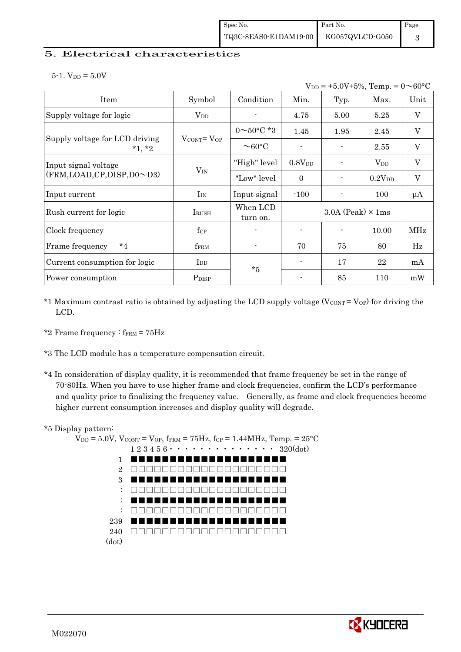#### 5. Electrical characteristics

|  | 5-1. $V_{DD} = 5.0V$ |  |  |
|--|----------------------|--|--|
|  |                      |  |  |

|                                            | $V_{DD}$ = +5.0V±5%, Temp. = 0 $\sim$ 60°C   |                          |                |                            |             |                           |  |
|--------------------------------------------|----------------------------------------------|--------------------------|----------------|----------------------------|-------------|---------------------------|--|
| Item                                       | Symbol                                       | Condition                | Min.           | Typ.                       | Max.        | Unit                      |  |
| Supply voltage for logic                   | $\rm V_{DD}$                                 |                          | 4.75           | 5.00                       | 5.25        | V                         |  |
|                                            |                                              | $0 \sim 50^{\circ}$ C *3 | 1.45           | 1.95                       | 2.45        | V                         |  |
| Supply voltage for LCD driving<br>$*1, *2$ | $V_{\text{CONT}} = V_{\text{OP}}$            | $\sim$ 60 $\degree$ C    |                |                            | 2.55        | V                         |  |
| Input signal voltage                       |                                              | "High" level             | $0.8V_{DD}$    |                            | $V_{DD}$    | $\mathbf V$               |  |
| (FRM,LOAD,CP,DISP,D0~D3)                   | $V_{IN}$                                     | "Low" level              | $\theta$       |                            | $0.2V_{DD}$ | $\boldsymbol{\mathrm{V}}$ |  |
| Input current                              | $I_{IN}$                                     | Input signal             | $-100$         |                            | 100         | $\mu A$                   |  |
| Rush current for logic                     | <b>IRUSH</b>                                 | When LCD<br>turn on.     |                | $3.0A$ (Peak) $\times$ 1ms |             |                           |  |
| Clock frequency                            | $f_{\rm CP}$                                 |                          | $\blacksquare$ | $\blacksquare$             | 10.00       | MHz                       |  |
| $*_{4}$<br>Frame frequency                 | fFRM                                         |                          | 70             | 75                         | 80          | Hz                        |  |
| Current consumption for logic              | $\mathop{\mathrm{I}}\nolimits_{\mathrm{DD}}$ | $*5$                     |                | 17                         | 22          | mA                        |  |
| Power consumption                          | P <sub>DISP</sub>                            |                          |                | 85                         | 110         | mW                        |  |

- $*1$  Maximum contrast ratio is obtained by adjusting the LCD supply voltage (V $_{\text{CONT}} =$  V<sub>OP</sub>) for driving the LCD.
- \*2 Frame frequency  $:$  f<sub>FRM</sub> =  $75Hz$
- \*3 The LCD module has a temperature compensation circuit.
- \*4 In consideration of display quality, it is recommended that frame frequency be set in the range of 70-80Hz. When you have to use higher frame and clock frequencies, confirm the LCD's performance and quality prior to finalizing the frequency value. Generally, as frame and clock frequencies become higher current consumption increases and display quality will degrade.

#### \*5 Display pattern:



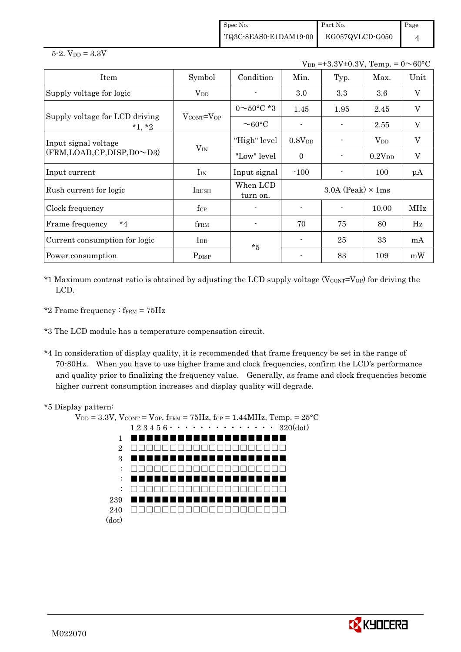Spec No. TQ3C-8EAS0-E1DAM19-00 Part No. KG057QVLCD-G050 Page 4

 $5 - 2.$  V<sub>DD</sub> =  $3.3V$ 

 $V_{DD} = +3.3V \pm 0.3V$  Temp. =  $0 \sim 60^{\circ}$ C

| Item                                       | Symbol                      | Condition                | Min.                       | Typ. | Max.               | Unit                      |
|--------------------------------------------|-----------------------------|--------------------------|----------------------------|------|--------------------|---------------------------|
| Supply voltage for logic                   | $\rm V_{DD}$                |                          | 3.0                        | 3.3  | 3.6                | $\boldsymbol{\mathrm{V}}$ |
|                                            |                             | $0 \sim 50^{\circ}$ C *3 | 1.45                       | 1.95 | 2.45               | $\boldsymbol{\mathrm{V}}$ |
| Supply voltage for LCD driving<br>$*1, *2$ | $V_{\rm CONT} = V_{\rm OP}$ | $\sim$ 60 $\degree$ C    |                            |      | 2.55               | $\boldsymbol{\mathrm{V}}$ |
| Input signal voltage                       |                             | "High" level             | 0.8V <sub>DD</sub>         |      | $V_{DD}$           | $\boldsymbol{\mathrm{V}}$ |
| (FRM,LOAD,CP,DISP,D0~D3)                   | $V_{IN}$                    | "Low" level              | $\Omega$                   |      | 0.2V <sub>DD</sub> | $\boldsymbol{\mathrm{V}}$ |
| Input current                              | $I_{IN}$                    | Input signal             | $-100$                     |      | 100                | $\mu A$                   |
| Rush current for logic                     | <b>IRUSH</b>                | When LCD<br>turn on.     | $3.0A$ (Peak) $\times$ 1ms |      |                    |                           |
| Clock frequency                            | $f_{\rm CP}$                |                          |                            |      | 10.00              | <b>MHz</b>                |
| $*_{4}$<br>Frame frequency                 | f <sub>FRM</sub>            |                          | 70                         | 75   | 80                 | Hz                        |
| Current consumption for logic              | $_{\rm{LDD}}$               | $*5$                     | $\blacksquare$             | 25   | 33                 | mA                        |
| Power consumption                          | P <sub>DISP</sub>           |                          |                            | 83   | 109                | mW                        |

 $*1$  Maximum contrast ratio is obtained by adjusting the LCD supply voltage (V $_{\text{CONT}}=V_{\text{OP}}$ ) for driving the LCD.

\*2 Frame frequency :  $f_{\text{FRM}} = 75 \text{Hz}$ 

\*3 The LCD module has a temperature compensation circuit.

\*4 In consideration of display quality, it is recommended that frame frequency be set in the range of 70-80Hz. When you have to use higher frame and clock frequencies, confirm the LCD's performance and quality prior to finalizing the frequency value. Generally, as frame and clock frequencies become higher current consumption increases and display quality will degrade.

#### \*5 Display pattern:

```
V_{DD} = 3.3V, V_{CONT} = V_{OP}, f_{FRM} = 75Hz, f_{CP} = 1.44MHz, Temp. = 25°C1\ 2\ 3\ 4\ 5\ 6\ \cdot\ \cdot\ \cdot\ \cdot\ \cdot\ \cdot\ \cdot\ \cdot\ \cdot\ \cdot\ \cdot\ 320(\mathrm{dot})1 
          2 
          3 
           : 
           : 
           : 
        239 
        240 
□□□□□□□□□□□□□□□□□□□□(dot) 
                  ■■■■■■■■■■■■■■■■■■■■
             □□□□□□□□□□□□□□□□□□□□
             ■■■■■■■■■■■■■■■■■■■■
                   □□□□□□□□□□□□□□□□□□□□
                    ■■■■■■■■■■■■■■■■■■■■
                □□□□□□□□□□□□□□□□□□□□
                      ■■■■■■■■■■■■■■■■■■■■
```
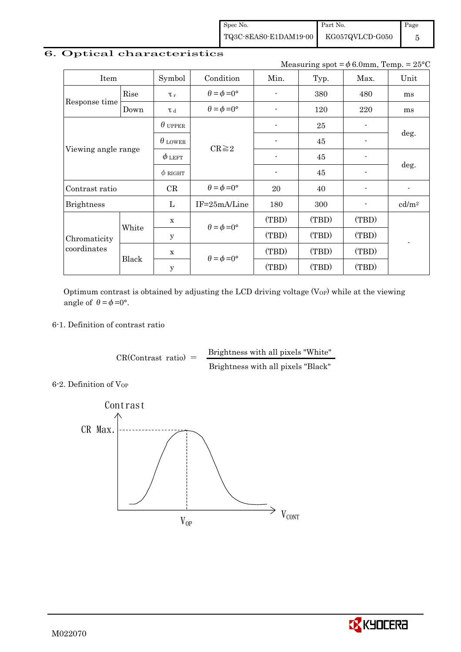Spec No. TQ3C-8EAS0-E1DAM19-00 Part No. KG057QVLCD-G050 Page

## 6. Optical characteristics

Measuring spot =  $\phi$  6.0mm, Temp. = 25°C

5

| Item                                                                                                                                         |                | Symbol                                     | Condition                   | Min.                     | Typ.  | Max.           | Unit              |  |
|----------------------------------------------------------------------------------------------------------------------------------------------|----------------|--------------------------------------------|-----------------------------|--------------------------|-------|----------------|-------------------|--|
| Rise<br>Response time<br>Down<br>Viewing angle range<br>Contrast ratio<br><b>Brightness</b><br>White<br>Chromaticity<br>coordinates<br>Black |                | $\tau_r$                                   | $\theta = \phi = 0^{\circ}$ |                          | 380   | 480            | ms                |  |
|                                                                                                                                              |                | T d                                        | $\theta = \phi = 0^{\circ}$ | $\overline{\phantom{a}}$ | 120   | 220            | ms                |  |
|                                                                                                                                              |                | $\theta$ upper                             |                             |                          | 25    |                | deg.<br>deg.      |  |
|                                                                                                                                              | $\theta$ LOWER | $CR \geq 2$                                |                             | 45                       |       |                |                   |  |
|                                                                                                                                              | $\phi$ left    |                                            |                             | 45                       |       |                |                   |  |
|                                                                                                                                              |                | $\phi$ RIGHT                               |                             | $\overline{\phantom{a}}$ | 45    |                |                   |  |
|                                                                                                                                              |                | CR                                         | $\theta = \phi = 0^{\circ}$ | 20                       | 40    | $\overline{a}$ | $\blacksquare$    |  |
|                                                                                                                                              |                | L                                          | $IF = 25mA/Line$            | 180                      | 300   |                | cd/m <sup>2</sup> |  |
|                                                                                                                                              |                | X                                          | $\theta = \phi = 0^{\circ}$ | (TBD)                    | (TBD) | (TBD)          |                   |  |
|                                                                                                                                              |                | $\mathbf y$                                |                             | (TBD)                    | (TBD) | (TBD)          |                   |  |
|                                                                                                                                              |                | $\mathbf x$                                |                             | (TBD)                    | (TBD) | (TBD)          |                   |  |
|                                                                                                                                              |                | $\theta = \phi = 0^{\circ}$<br>$\mathbf y$ |                             | (TBD)                    | (TBD) | (TBD)          |                   |  |

Optimum contrast is obtained by adjusting the LCD driving voltage  $(V_{OP})$  while at the viewing angle of  $\theta = \phi = 0^{\circ}$ .

#### 6-1. Definition of contrast ratio

 $CR(Contrast ratio) =$  Brightness with all pixels "White" Brightness with all pixels "Black"

6-2. Definition of Vor



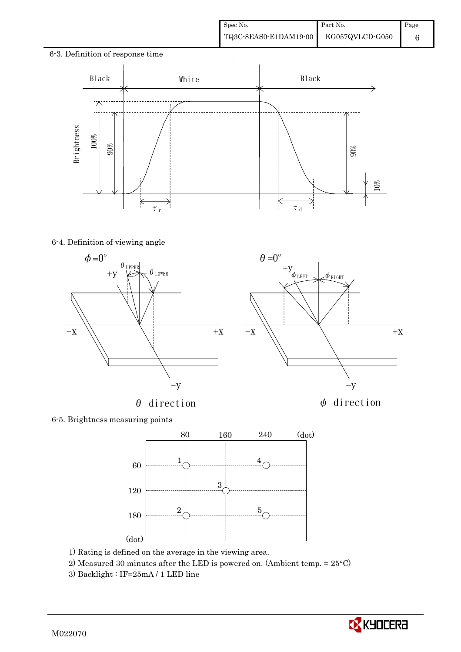6

# 6-3. Definition of response time l, Black | White Black 90% 10%  $\overline{\times}$ À  $\tau_r$  $\tau$ <sub>d</sub>

#### 6-4. Definition of viewing angle





 $\theta=0^\circ$ 

6-5. Brightness measuring points



- 1) Rating is defined on the average in the viewing area.
- 2) Measured 30 minutes after the LED is powered on. (Ambient temp. = 25°C)
- 

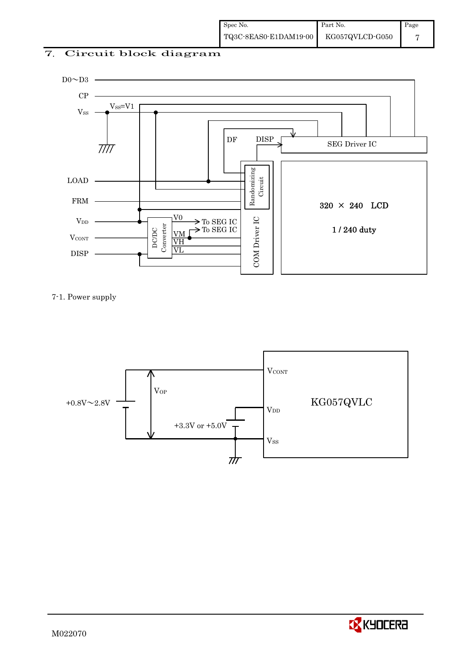## 7. Circuit block diagram



7-1. Power supply



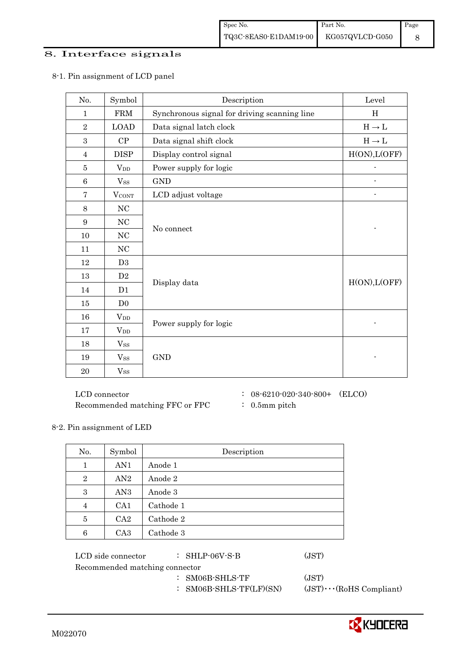#### 8. Interface signals

| No.            | Symbol                 | Description                                  | Level         |
|----------------|------------------------|----------------------------------------------|---------------|
| $\mathbf{1}$   | <b>FRM</b>             | Synchronous signal for driving scanning line | H             |
| $\sqrt{2}$     | <b>LOAD</b>            | Data signal latch clock                      | $H\to L$      |
| 3              | CP                     | Data signal shift clock                      | $H\to L$      |
| $\overline{4}$ | <b>DISP</b>            | Display control signal                       | H(ON), L(OFF) |
| 5              | <b>V</b> <sub>DD</sub> | Power supply for logic                       |               |
| $\,6$          | $V_{SS}$               | <b>GND</b>                                   |               |
| $\overline{7}$ | <b>VCONT</b>           | LCD adjust voltage                           |               |
| 8              | NC                     |                                              |               |
| 9              | $\rm NC$               | No connect                                   |               |
| 10             | $\rm NC$               |                                              |               |
| 11             | $\rm NC$               |                                              |               |
| 12             | D3                     |                                              |               |
| 13             | D2                     |                                              | H(ON), L(OFF) |
| 14             | D1                     | Display data                                 |               |
| 15             | D <sub>0</sub>         |                                              |               |
| 16             | $V_{DD}$               |                                              |               |
| 17             | $V_{DD}$               | Power supply for logic                       |               |
| 18             | $V_{SS}$               |                                              |               |
| 19             | $V_{SS}$               | <b>GND</b>                                   |               |
| 20             | <b>Vss</b>             |                                              |               |

#### 8-1. Pin assignment of LCD panel

 $\rm LCD~connector ~~:~~08\text{-}6210\text{-}020\text{-}340\text{-}800+~~\, \rm (ELCO)$ Recommended matching FFC or FPC : 0.5mm pitch

- 
- 

#### 8-2. Pin assignment of LED

| No.            | Symbol          | Description |
|----------------|-----------------|-------------|
| 1              | AN1             | Anode 1     |
| $\overline{2}$ | AN2             | Anode 2     |
| 3              | AN <sub>3</sub> | Anode 3     |
| 4              | CA <sub>1</sub> | Cathode 1   |
| 5              | CA2             | Cathode 2   |
| 6              | CA <sub>3</sub> | Cathode 3   |

| LCD side connector             | $:$ SHLP-06V-S-B        | (JST)                          |
|--------------------------------|-------------------------|--------------------------------|
| Recommended matching connector |                         |                                |
|                                | $:$ SM06B-SHLS-TF       | (JST)                          |
|                                | : SM06B-SHLS-TF(LF)(SN) | $(JST)\cdots$ (RoHS Compliant) |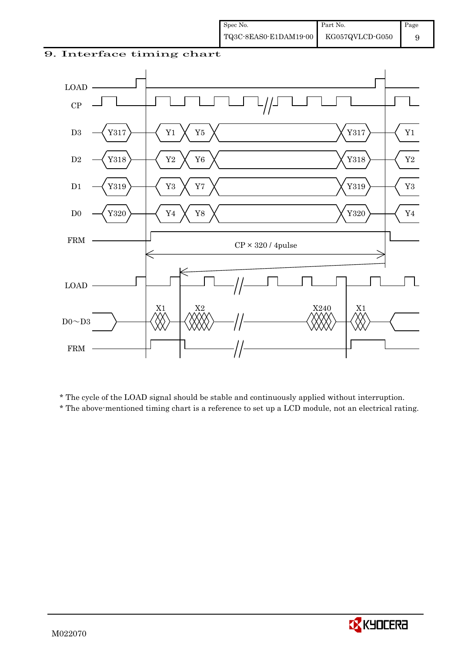#### 9. Interface timing chart



\* The cycle of the LOAD signal should be stable and continuously applied without interruption.

\* The above-mentioned timing chart is a reference to set up a LCD module, not an electrical rating.

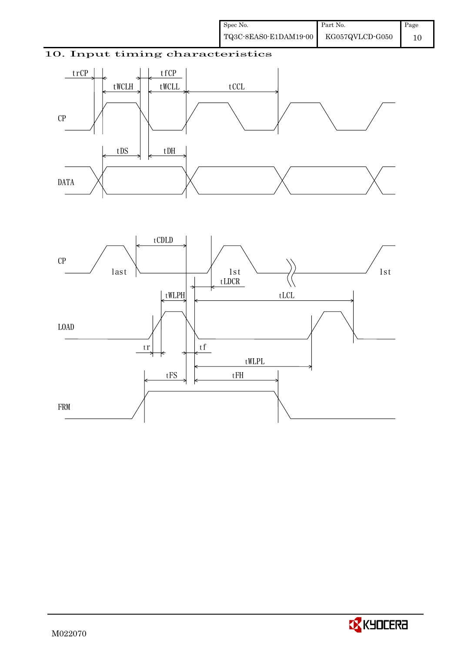## 10. Input timing characteristics





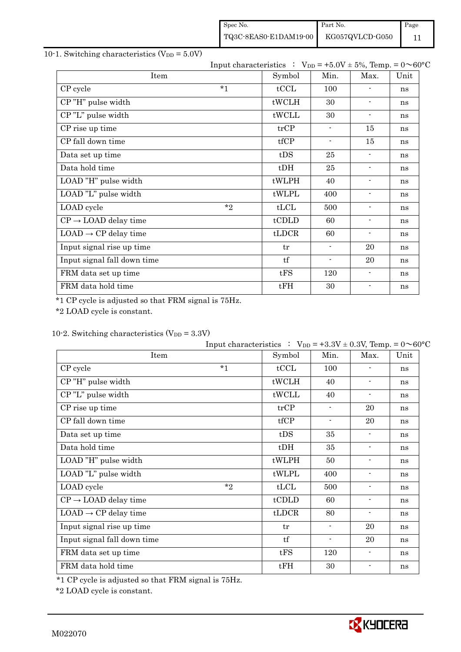| Spec No.              | Part No.        | Page |
|-----------------------|-----------------|------|
| TQ3C-8EAS0-E1DAM19-00 | KG057QVLCD-G050 |      |

## 10-1. Switching characteristics  $(V_{DD} = 5.0V)$

|                                  |         | Input characteristics : $V_{DD} = +5.0V \pm 5\%$ , Temp. = $0 \sim 60^{\circ}C$ |                |                          |      |
|----------------------------------|---------|---------------------------------------------------------------------------------|----------------|--------------------------|------|
| Item                             |         | Symbol                                                                          | Min.           | Max.                     | Unit |
| CP cycle                         | $*_{1}$ | tCCL                                                                            | 100            |                          | ns   |
| CP"H" pulse width                |         | tWCLH                                                                           | 30             | $\blacksquare$           | ns   |
| CP"L" pulse width                |         | tWCLL                                                                           | 30             | $\blacksquare$           | ns   |
| CP rise up time                  |         | trCP                                                                            | $\blacksquare$ | 15                       | ns   |
| CP fall down time                |         | tfCP                                                                            | $\blacksquare$ | 15                       | ns   |
| Data set up time                 |         | tDS                                                                             | 25             | $\blacksquare$           | ns   |
| Data hold time                   |         | $t$ DH                                                                          | 25             | $\overline{\phantom{a}}$ | ns   |
| LOAD "H" pulse width             |         | tWLPH                                                                           | 40             | $\blacksquare$           | ns   |
| LOAD "L" pulse width             |         | tWLPL                                                                           | 400            | $\blacksquare$           | ns   |
| LOAD cycle                       | $*$ ?   | tLCL                                                                            | 500            | $\overline{\phantom{a}}$ | ns   |
| $CP \rightarrow$ LOAD delay time |         | tCDLD                                                                           | 60             | $\overline{\phantom{a}}$ | ns   |
| $LOAD \rightarrow CP$ delay time |         | tLDCR                                                                           | 60             | $\overline{\phantom{a}}$ | ns   |
| Input signal rise up time        |         | tr                                                                              | $\blacksquare$ | 20                       | ns   |
| Input signal fall down time      |         | tf                                                                              | $\blacksquare$ | 20                       | ns   |
| FRM data set up time             |         | tFS                                                                             | 120            | $\blacksquare$           | ns   |
| FRM data hold time               |         | tFH                                                                             | 30             | $\blacksquare$           | ns   |

\*1 CP cycle is adjusted so that FRM signal is 75Hz.

\*2 LOAD cycle is constant.

## 10-2. Switching characteristics  $(V_{DD} = 3.3V)$

|                                  | Input characteristics : $V_{DD} = +3.3V \pm 0.3V$ , Temp. = $0 \sim 60^{\circ}C$ |        |                          |                          |      |
|----------------------------------|----------------------------------------------------------------------------------|--------|--------------------------|--------------------------|------|
| Item                             |                                                                                  | Symbol | Min.                     | Max.                     | Unit |
| CP cycle                         | $*_{1}$                                                                          | tCCL   | 100                      |                          | ns   |
| CP"H" pulse width                |                                                                                  | tWCLH  | 40                       | $\blacksquare$           | ns   |
| CP"L" pulse width                |                                                                                  | tWCLL  | 40                       | $\blacksquare$           | ns   |
| CP rise up time                  |                                                                                  | trCP   | $\overline{\phantom{a}}$ | 20                       | ns   |
| CP fall down time                |                                                                                  | tfCP   | $\overline{\phantom{a}}$ | 20                       | ns   |
| Data set up time                 |                                                                                  | tDS    | 35                       | $\blacksquare$           | ns   |
| Data hold time                   |                                                                                  | $t$ DH | 35                       | $\blacksquare$           | ns   |
| LOAD "H" pulse width             |                                                                                  | tWLPH  | 50                       | $\blacksquare$           | ns   |
| LOAD "L" pulse width             |                                                                                  | tWLPL  | 400                      | $\blacksquare$           | ns   |
| LOAD cycle                       | $*_{2}$                                                                          | tLCL   | 500                      | $\blacksquare$           | ns   |
| $CP \rightarrow$ LOAD delay time |                                                                                  | tCDLD  | 60                       | $\overline{\phantom{a}}$ | ns   |
| $LOAD \rightarrow CP$ delay time |                                                                                  | tLDCR  | 80                       | $\overline{\phantom{a}}$ | ns   |
| Input signal rise up time        |                                                                                  | tr     | $\overline{\phantom{a}}$ | 20                       | ns   |
| Input signal fall down time      |                                                                                  | tf     | $\overline{\phantom{a}}$ | 20                       | ns   |
| FRM data set up time             |                                                                                  | tFS    | 120                      | $\blacksquare$           | ns   |
| FRM data hold time               |                                                                                  | tFH    | 30                       | $\blacksquare$           | ns   |

\*1 CP cycle is adjusted so that FRM signal is 75Hz.

\*2 LOAD cycle is constant.

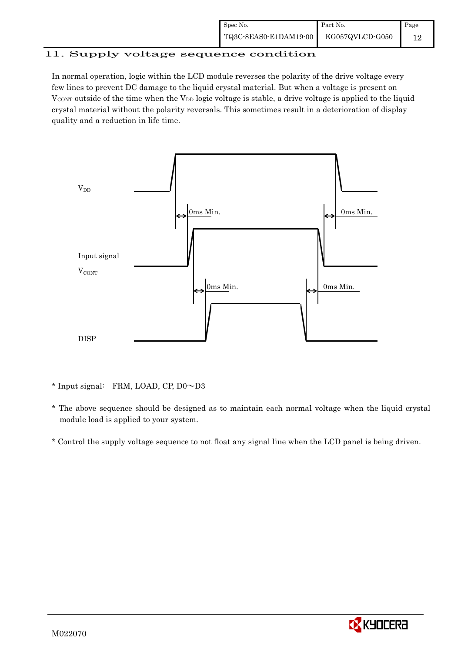| Spec No.              | Part No.        | Page |
|-----------------------|-----------------|------|
| TQ3C-8EAS0-E1DAM19-00 | KG057QVLCD-G050 |      |

# 11. Supply voltage sequence condition

In normal operation, logic within the LCD module reverses the polarity of the drive voltage every few lines to prevent DC damage to the liquid crystal material. But when a voltage is present on  $V_{\text{CONT}}$  outside of the time when the  $V_{\text{DD}}$  logic voltage is stable, a drive voltage is applied to the liquid crystal material without the polarity reversals. This sometimes result in a deterioration of display quality and a reduction in life time.



\* Input signal: FRM, LOAD, CP, D0~D3

- \* The above sequence should be designed as to maintain each normal voltage when the liquid crystal module load is applied to your system.
- \* Control the supply voltage sequence to not float any signal line when the LCD panel is being driven.

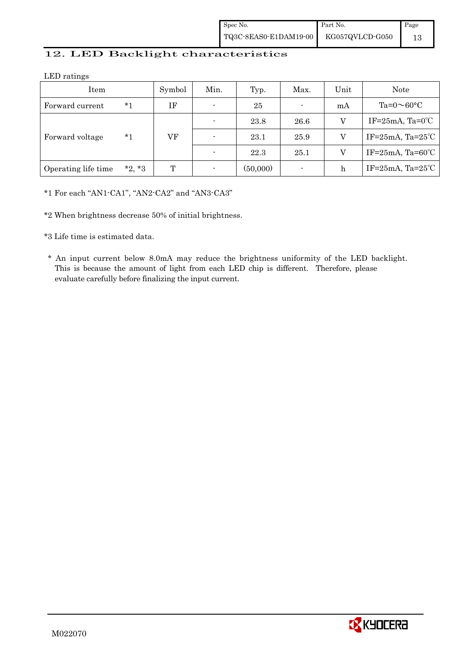| Spec No.              | Part No.        | Page |
|-----------------------|-----------------|------|
| TQ3C-8EAS0-E1DAM19-00 | KG057QVLCD-G050 |      |

## 12. LED Backlight characteristics

LED ratings

| Item                |          | Symbol | Min.           | Typ.     | Max. | Unit | <b>Note</b>                     |
|---------------------|----------|--------|----------------|----------|------|------|---------------------------------|
| Forward current     | $*1$     | ΙF     | $\blacksquare$ | 25       |      | mA   | Ta= $0 \sim 60$ °C              |
| Forward voltage     |          |        | ٠              | 23.8     | 26.6 | V    | IF= $25mA$ , Ta= $0^{\circ}$ C  |
|                     | *1       | VF     | $\blacksquare$ | 23.1     | 25.9 | v    | IF= $25mA$ , Ta= $25°C$         |
|                     |          |        | $\overline{a}$ | 22.3     | 25.1 | V    | IF= $25mA$ , Ta= $60^{\circ}$ C |
| Operating life time | $*2, *3$ | T      | ٠              | (50,000) |      | h    | IF= $25mA$ , Ta= $25^{\circ}$ C |

\*1 For each "AN1-CA1", "AN2-CA2" and "AN3-CA3"

\*2 When brightness decrease 50% of initial brightness.

\*3 Life time is estimated data.

 \* An input current below 8.0mA may reduce the brightness uniformity of the LED backlight. This is because the amount of light from each LED chip is different. Therefore, please evaluate carefully before finalizing the input current.

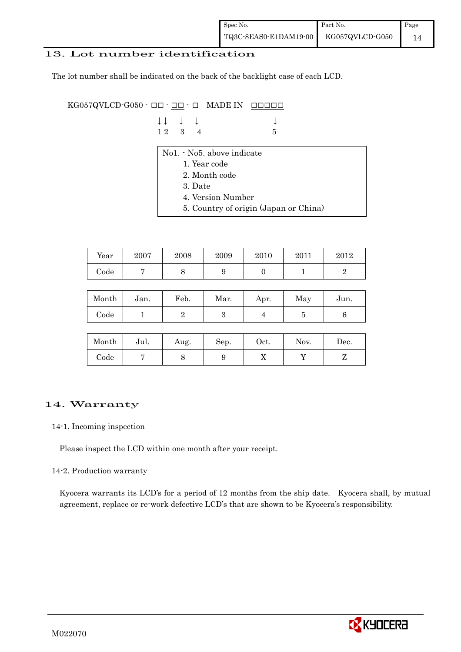#### 13. Lot number identification

The lot number shall be indicated on the back of the backlight case of each LCD.

KG057QVLCD-G050 -  $\Box$  $\Box$   $\Box$   $\Box$   $\Box$  MADE IN  $\Box$  $\Box$  $\Box$  $\Box$  $\Box$ 

| $\downarrow \downarrow$ $\downarrow$ $\downarrow$ |  |      |  |
|---------------------------------------------------|--|------|--|
| $12 \quad 3 \quad 4$                              |  | $-5$ |  |

- No1. No5. above indicate
	- 1. Year code
	- 2. Month code
	- 3. Date
	- 4. Version Number
	- 5. Country of origin (Japan or China)

| Year | 2007 | 2008 | 2009 | 2010 | 2011 | $2012\,$ |
|------|------|------|------|------|------|----------|
| Code |      |      | ັ    |      |      |          |

| Month      | Jan. | Feb. | Mar. | Apr. | May | Jun. |
|------------|------|------|------|------|-----|------|
| $\rm Code$ |      |      | ౿    |      |     |      |

| Month      | Jul. | Aug. | Sep. | Oct. | Nov. | Dec. |
|------------|------|------|------|------|------|------|
| $\rm Code$ |      |      | ഄ    | ∡⊾   |      |      |

## 14. Warranty

#### 14-1. Incoming inspection

Please inspect the LCD within one month after your receipt.

#### 14-2. Production warranty

 Kyocera warrants its LCD's for a period of 12 months from the ship date. Kyocera shall, by mutual agreement, replace or re-work defective LCD's that are shown to be Kyocera's responsibility.

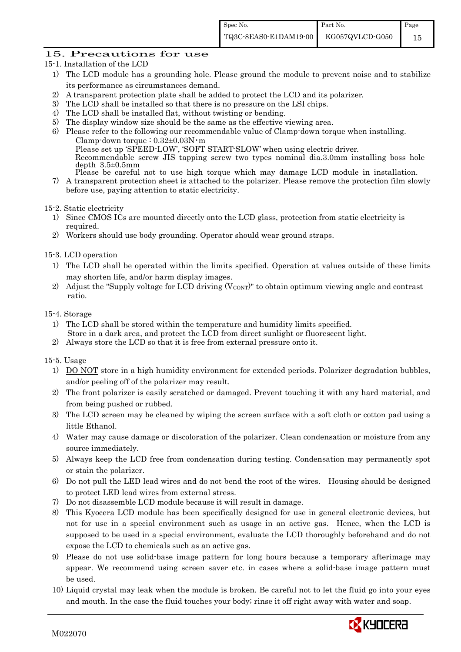## 15. Precautions for use

- 15-1. Installation of the LCD
	- 1) The LCD module has a grounding hole. Please ground the module to prevent noise and to stabilize its performance as circumstances demand.
	- 2) A transparent protection plate shall be added to protect the LCD and its polarizer.
	- 3) The LCD shall be installed so that there is no pressure on the LSI chips.
	- 4) The LCD shall be installed flat, without twisting or bending.
	- 5) The display window size should be the same as the effective viewing area.
	- 6) Please refer to the following our recommendable value of Clamp-down torque when installing. Clamp-down torque :  $0.32\pm0.03$ N·m Please set up 'SPEED-LOW', 'SOFT START-SLOW' when using electric driver. Recommendable screw JIS tapping screw two types nominal dia.3.0mm installing boss hole depth 3.5±0.5mm Please be careful not to use high torque which may damage LCD module in installation.
	- 7) A transparent protection sheet is attached to the polarizer. Please remove the protection film slowly before use, paying attention to static electricity.

15-2. Static electricity

- 1) Since CMOS ICs are mounted directly onto the LCD glass, protection from static electricity is required.
- 2) Workers should use body grounding. Operator should wear ground straps.

15-3. LCD operation

- 1) The LCD shall be operated within the limits specified. Operation at values outside of these limits may shorten life, and/or harm display images.
- 2) Adjust the "Supply voltage for LCD driving  $(V_{\text{CONT}})$ " to obtain optimum viewing angle and contrast ratio.

#### 15-4. Storage

- 1) The LCD shall be stored within the temperature and humidity limits specified. Store in a dark area, and protect the LCD from direct sunlight or fluorescent light.
- 2) Always store the LCD so that it is free from external pressure onto it.

15-5. Usage

- 1) DO NOT store in a high humidity environment for extended periods. Polarizer degradation bubbles, and/or peeling off of the polarizer may result.
- 2) The front polarizer is easily scratched or damaged. Prevent touching it with any hard material, and from being pushed or rubbed.
- 3) The LCD screen may be cleaned by wiping the screen surface with a soft cloth or cotton pad using a little Ethanol.
- 4) Water may cause damage or discoloration of the polarizer. Clean condensation or moisture from any source immediately.
- 5) Always keep the LCD free from condensation during testing. Condensation may permanently spot or stain the polarizer.
- 6) Do not pull the LED lead wires and do not bend the root of the wires. Housing should be designed to protect LED lead wires from external stress.
- 7) Do not disassemble LCD module because it will result in damage.
- 8) This Kyocera LCD module has been specifically designed for use in general electronic devices, but not for use in a special environment such as usage in an active gas. Hence, when the LCD is supposed to be used in a special environment, evaluate the LCD thoroughly beforehand and do not expose the LCD to chemicals such as an active gas.
- 9) Please do not use solid-base image pattern for long hours because a temporary afterimage may appear. We recommend using screen saver etc. in cases where a solid-base image pattern must be used.
- 10) Liquid crystal may leak when the module is broken. Be careful not to let the fluid go into your eyes and mouth. In the case the fluid touches your body; rinse it off right away with water and soap.

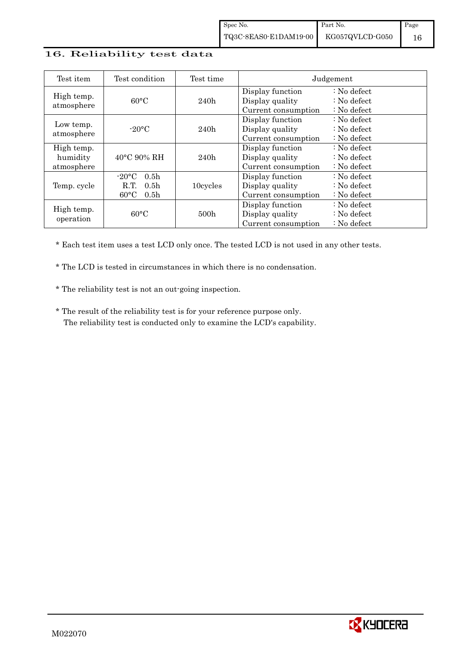#### 16. Reliability test data

| Test item                            | Test condition                                                                                       | Test time        |                                                            | Judgement                                                                  |
|--------------------------------------|------------------------------------------------------------------------------------------------------|------------------|------------------------------------------------------------|----------------------------------------------------------------------------|
| High temp.<br>atmosphere             | $60^{\circ}$ C                                                                                       | 240h             | Display function<br>Display quality<br>Current consumption | $\therefore$ No defect<br>$\therefore$ No defect<br>: No defect            |
| Low temp.<br>atmosphere              | $-20$ °C                                                                                             | 240h             | Display function<br>Display quality<br>Current consumption | $\therefore$ No defect<br>$\therefore$ No defect<br>$\therefore$ No defect |
| High temp.<br>humidity<br>atmosphere | $40^{\circ}$ C 90% RH                                                                                | 240h             | Display function<br>Display quality<br>Current consumption | $\therefore$ No defect<br>$\therefore$ No defect<br>$\therefore$ No defect |
| Temp. cycle                          | $-20\degree C$<br>0.5 <sub>h</sub><br>0.5 <sub>h</sub><br>R.T.<br>$60^{\circ}$ C<br>0.5 <sub>h</sub> | 10cycles         | Display function<br>Display quality<br>Current consumption | $\therefore$ No defect<br>$\therefore$ No defect<br>$\therefore$ No defect |
| High temp.<br>operation              | $60^{\circ}$ C                                                                                       | 500 <sub>h</sub> | Display function<br>Display quality<br>Current consumption | $\therefore$ No defect<br>: No defect<br>$\therefore$ No defect            |

\* Each test item uses a test LCD only once. The tested LCD is not used in any other tests.

\* The LCD is tested in circumstances in which there is no condensation.

\* The reliability test is not an out-going inspection.

 \* The result of the reliability test is for your reference purpose only. The reliability test is conducted only to examine the LCD's capability.

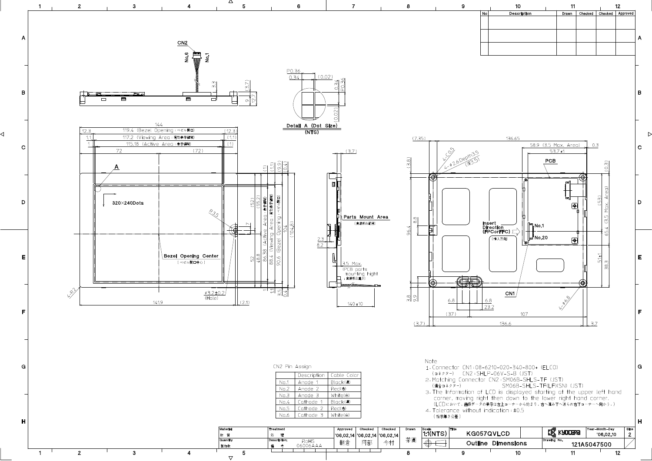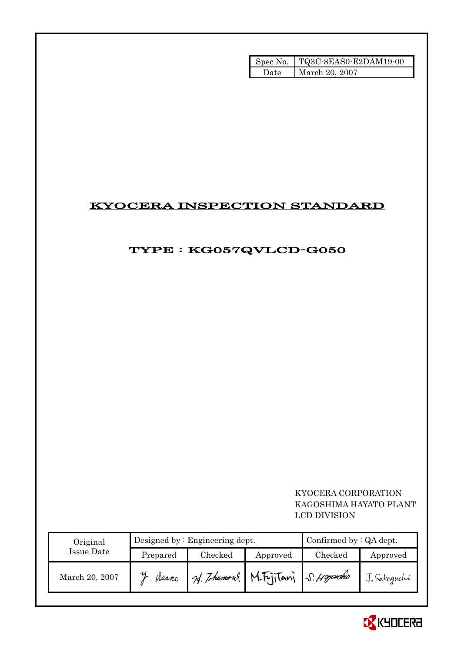|       | Spec No.   TQ3C-8EAS0-E2DAM19-00 |
|-------|----------------------------------|
| ')ate | March 20, 2007                   |

# KYOCERA INSPECTION STANDARD

# TYPE : KG057QVLCD-G050

## KYOCERA CORPORATION KAGOSHIMA HAYATO PLANT LCD DIVISION

| Original       |          | Designed by $:$ Engineering dept. | Confirmed by $:QA$ dept.            |         |              |
|----------------|----------|-----------------------------------|-------------------------------------|---------|--------------|
| Issue Date     | Prepared | Checked                           | Approved                            | Checked | Approved     |
| March 20, 2007 | Meano    |                                   | 24. Tohumous M. Fujitani S. Hoyasho |         | J. Sakaguchi |

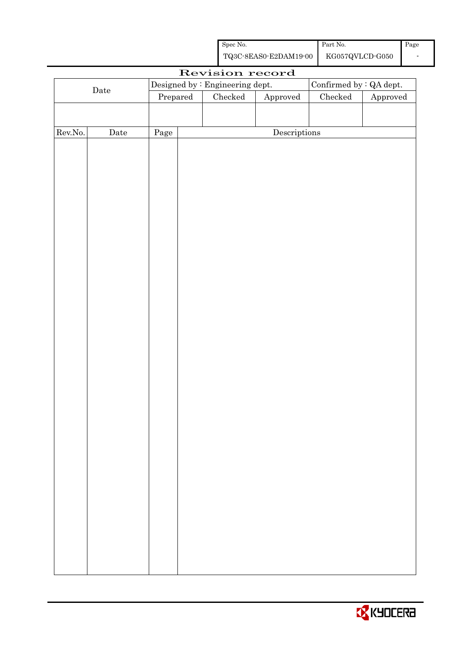| Spec No.              | Part No.        | Page |
|-----------------------|-----------------|------|
| TQ3C-8EAS0-E2DAM19-00 | KG057QVLCD-G050 |      |

|         |             |          |  | Revision record                 |                        |                         |          |
|---------|-------------|----------|--|---------------------------------|------------------------|-------------------------|----------|
|         |             |          |  | Designed by : Engineering dept. |                        | Confirmed by : QA dept. |          |
|         | $\rm{Date}$ | Prepared |  | Checked                         | ${\Large\bf Approved}$ | $\rm Checked$           | Approved |
|         |             |          |  |                                 |                        |                         |          |
|         |             |          |  |                                 |                        |                         |          |
| Rev.No. | $\rm{Date}$ | Page     |  |                                 | Descriptions           |                         |          |
|         |             |          |  |                                 |                        |                         |          |
|         |             |          |  |                                 |                        |                         |          |
|         |             |          |  |                                 |                        |                         |          |
|         |             |          |  |                                 |                        |                         |          |
|         |             |          |  |                                 |                        |                         |          |
|         |             |          |  |                                 |                        |                         |          |
|         |             |          |  |                                 |                        |                         |          |
|         |             |          |  |                                 |                        |                         |          |
|         |             |          |  |                                 |                        |                         |          |
|         |             |          |  |                                 |                        |                         |          |
|         |             |          |  |                                 |                        |                         |          |
|         |             |          |  |                                 |                        |                         |          |
|         |             |          |  |                                 |                        |                         |          |
|         |             |          |  |                                 |                        |                         |          |
|         |             |          |  |                                 |                        |                         |          |
|         |             |          |  |                                 |                        |                         |          |
|         |             |          |  |                                 |                        |                         |          |
|         |             |          |  |                                 |                        |                         |          |
|         |             |          |  |                                 |                        |                         |          |
|         |             |          |  |                                 |                        |                         |          |
|         |             |          |  |                                 |                        |                         |          |
|         |             |          |  |                                 |                        |                         |          |
|         |             |          |  |                                 |                        |                         |          |
|         |             |          |  |                                 |                        |                         |          |
|         |             |          |  |                                 |                        |                         |          |
|         |             |          |  |                                 |                        |                         |          |
|         |             |          |  |                                 |                        |                         |          |
|         |             |          |  |                                 |                        |                         |          |
|         |             |          |  |                                 |                        |                         |          |
|         |             |          |  |                                 |                        |                         |          |
|         |             |          |  |                                 |                        |                         |          |
|         |             |          |  |                                 |                        |                         |          |
|         |             |          |  |                                 |                        |                         |          |
|         |             |          |  |                                 |                        |                         |          |
|         |             |          |  |                                 |                        |                         |          |
|         |             |          |  |                                 |                        |                         |          |

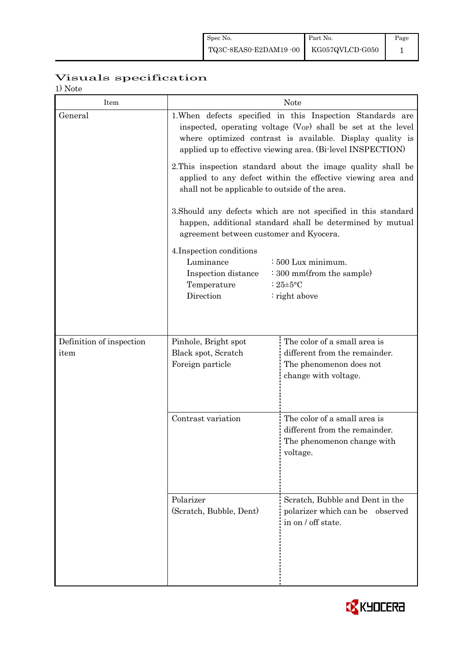# Visuals specification

1) Note

| 17 1 V U U U<br>Item             |                                                                                                                                                                                                                                                                     | <b>Note</b>                                                                                                      |  |  |  |  |
|----------------------------------|---------------------------------------------------------------------------------------------------------------------------------------------------------------------------------------------------------------------------------------------------------------------|------------------------------------------------------------------------------------------------------------------|--|--|--|--|
| General                          | 1. When defects specified in this Inspection Standards are<br>inspected, operating voltage (V <sub>OP</sub> ) shall be set at the level<br>where optimized contrast is available. Display quality is<br>applied up to effective viewing area. (Bi-level INSPECTION) |                                                                                                                  |  |  |  |  |
|                                  | 2. This inspection standard about the image quality shall be<br>applied to any defect within the effective viewing area and<br>shall not be applicable to outside of the area.                                                                                      |                                                                                                                  |  |  |  |  |
|                                  | 3. Should any defects which are not specified in this standard<br>happen, additional standard shall be determined by mutual<br>agreement between customer and Kyocera.                                                                                              |                                                                                                                  |  |  |  |  |
|                                  | 4. Inspection conditions<br>Luminance<br>$\div 500$ Lux minimum.<br>: 300 mm(from the sample)<br>Inspection distance<br>Temperature<br>: $25 \pm 5$ °C<br>Direction<br>: right above                                                                                |                                                                                                                  |  |  |  |  |
|                                  |                                                                                                                                                                                                                                                                     |                                                                                                                  |  |  |  |  |
| Definition of inspection<br>item | Pinhole, Bright spot<br>Black spot, Scratch<br>Foreign particle                                                                                                                                                                                                     | The color of a small area is<br>different from the remainder.<br>The phenomenon does not<br>change with voltage. |  |  |  |  |
|                                  | Contrast variation                                                                                                                                                                                                                                                  | The color of a small area is<br>different from the remainder.<br>The phenomenon change with<br>voltage.          |  |  |  |  |
|                                  | Polarizer<br>(Scratch, Bubble, Dent)                                                                                                                                                                                                                                | Scratch, Bubble and Dent in the<br>polarizer which can be observed<br>in on / off state.                         |  |  |  |  |

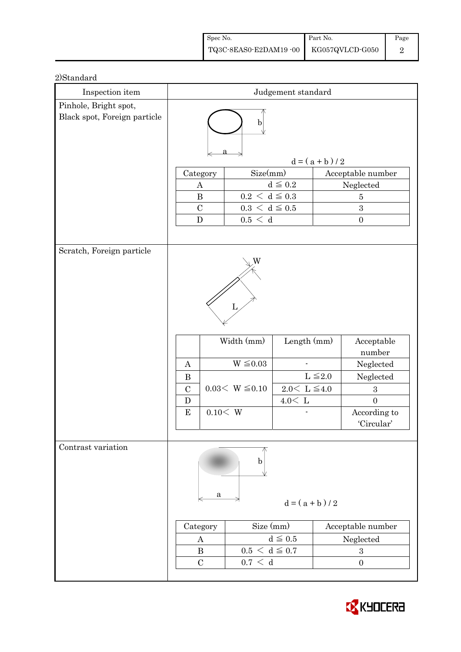| Spec No.                              | Part No. | Page |
|---------------------------------------|----------|------|
| TQ3C-8EAS0-E2DAM19-00 KG057QVLCD-G050 |          |      |

| Inspection item                                       | Judgement standard         |          |                                        |                        |                   |                                |  |
|-------------------------------------------------------|----------------------------|----------|----------------------------------------|------------------------|-------------------|--------------------------------|--|
| Pinhole, Bright spot,<br>Black spot, Foreign particle | $\mathbf b$                |          |                                        |                        |                   |                                |  |
|                                                       |                            |          |                                        |                        | $d = (a + b) / 2$ |                                |  |
|                                                       | Category                   |          | Size(mm)                               |                        |                   | Acceptable number              |  |
|                                                       | $\boldsymbol{A}$           |          |                                        | $d\leqq0.2$            |                   | Neglected                      |  |
|                                                       | $\, {\bf B}$               |          | $0.2\,<\,\mathrm{d}\leq0.3$            |                        |                   | $\overline{5}$                 |  |
|                                                       | $\mathcal{C}$<br>${\bf D}$ |          | $0.3\,<\,\mathrm{d}\leq0.5$<br>0.5 < d |                        |                   | 3<br>$\boldsymbol{0}$          |  |
|                                                       |                            |          |                                        |                        |                   |                                |  |
| Scratch, Foreign particle                             |                            |          |                                        |                        |                   |                                |  |
|                                                       |                            |          |                                        |                        |                   |                                |  |
|                                                       |                            |          | Width (mm)                             | Length $(mm)$          |                   | Acceptable<br>number           |  |
|                                                       | $\mathbf{A}$               |          | $W \leq 0.03$                          |                        |                   | Neglected                      |  |
|                                                       | $\bf{B}$                   |          |                                        |                        | $L \leq 2.0$      | Neglected                      |  |
|                                                       | $\mathcal{C}$              |          | $0.03< W \leq 0.10$                    | $2.0<\,$ L $\leq\!4.0$ |                   | $\boldsymbol{3}$               |  |
|                                                       | D<br>${\bf E}$             | 0.10 < W |                                        | $4.0<\,$ L             |                   | $\overline{0}$<br>According to |  |
|                                                       |                            |          |                                        |                        |                   | 'Circular'                     |  |
|                                                       |                            |          |                                        |                        |                   |                                |  |
| Contrast variation                                    |                            | a        | b                                      |                        |                   |                                |  |
|                                                       |                            |          |                                        | $d = (a + b)/2$        |                   |                                |  |
|                                                       | Category                   |          | Size (mm)                              |                        |                   | Acceptable number              |  |
|                                                       | A                          |          |                                        | $d \leq 0.5$           |                   | Neglected                      |  |
|                                                       | $\bf{B}$                   |          | $0.5 < d \leq 0.7$                     |                        |                   | $\sqrt{3}$                     |  |
|                                                       | $\mathcal{C}$              |          | $0.7\,<\,$ d                           |                        |                   | $\boldsymbol{0}$               |  |